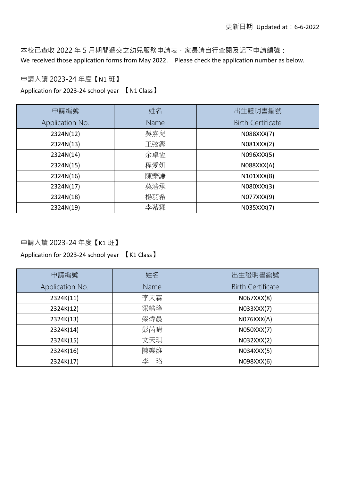本校已查收 2022 年 5 月期間遞交之幼兒服務申請表,家長請自行查閱及記下申請編號: We received those application forms from May 2022. Please check the application number as below.

#### 申請入讀 2023-24 年度**【**N1 班**】**

Application for 2023-24 school year 【N1 Class】

| 申請編號            | 姓名   | 出生證明書編號                  |
|-----------------|------|--------------------------|
| Application No. | Name | <b>Birth Certificate</b> |
| 2324N(12)       | 吳熹兒  | N088XXX(7)               |
| 2324N(13)       | 王弦鏗  | N081XXX(2)               |
| 2324N(14)       | 余卓恆  | N096XXX(5)               |
| 2324N(15)       | 程愛妍  | N088XXX(A)               |
| 2324N(16)       | 陳樂謙  | N101XXX(8)               |
| 2324N(17)       | 莫浩承  | N080XXX(3)               |
| 2324N(18)       | 楊羽希  | N077XXX(9)               |
| 2324N(19)       | 李莃霖  | N035XXX(7)               |

### 申請入讀 2023-24 年度**【**K1 班**】**

| 申請編號            | 姓名     | 出生證明書編號                  |
|-----------------|--------|--------------------------|
| Application No. | Name   | <b>Birth Certificate</b> |
| 2324K(11)       | 李天霖    | N067XXX(8)               |
| 2324K(12)       | 梁皓琒    | N033XXX(7)               |
| 2324K(13)       | 梁煒晨    | NO76XXX(A)               |
| 2324K(14)       | 彭芮晴    | N050XXX(7)               |
| 2324K(15)       | 文天琪    | N032XXX(2)               |
| 2324K(16)       | 陳樂維    | N034XXX(5)               |
| 2324K(17)       | 珞<br>李 | N098XXX(6)               |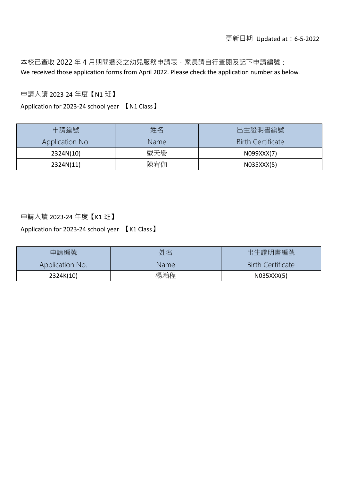本校已查收 2022 年 4 月期間遞交之幼兒服務申請表,家長請自行查閱及記下申請編號: We received those application forms from April 2022. Please check the application number as below.

申請入讀 2023-24 年度**【**N1 班**】**

Application for 2023-24 school year 【N1 Class】

| 申請編號            | 姓名   | 出生證明書編號                  |
|-----------------|------|--------------------------|
| Application No. | Name | <b>Birth Certificate</b> |
| 2324N(10)       | 戴天譽  | N099XXX(7)               |
| 2324N(11)       | 陳宥伽  | N035XXX(5)               |

#### 申請入讀 2023-24 年度**【**K1 班**】**

| 申請編號            | 姓名   | 出生證明書編號                  |
|-----------------|------|--------------------------|
| Application No. | Name | <b>Birth Certificate</b> |
| 2324K(10)       | 楊瀚程  | N035XXX(5)               |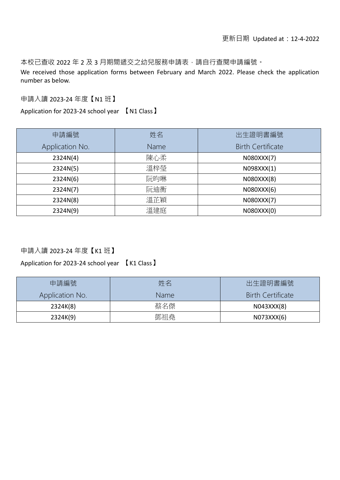本校已查收 2022 年 2 及 3 月期間遞交之幼兒服務申請表,請自行查閱申請編號。

We received those application forms between February and March 2022. Please check the application number as below.

申請入讀 2023-24 年度【N1 班】

Application for 2023-24 school year 【N1 Class】

| 申請編號            | 姓名   | 出生證明書編號                  |
|-----------------|------|--------------------------|
| Application No. | Name | <b>Birth Certificate</b> |
| 2324N(4)        | 陳心柔  | N080XXX(7)               |
| 2324N(5)        | 溫梓瑩  | N098XXX(1)               |
| 2324N(6)        | 阮昀琳  | N080XXX(8)               |
| 2324N(7)        | 阮迪衡  | N080XXX(6)               |
| 2324N(8)        | 溫芷穎  | N080XXX(7)               |
| 2324N(9)        | 溫建庭  | N080XXX(0)               |

申請入讀 2023-24 年度**【**K1 班**】**

| 申請編號            | 姓名          | 出生證明書編號                  |
|-----------------|-------------|--------------------------|
| Application No. | <b>Name</b> | <b>Birth Certificate</b> |
| 2324K(8)        | 蔡名傑         | N043XXX(8)               |
| 2324K(9)        | 鄧祖堯         | N073XXX(6)               |